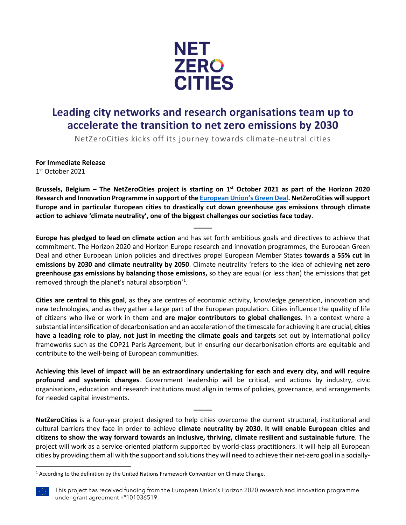

## **Leading city networks and research organisations team up to accelerate the transition to net zero emissions by 2030**

NetZeroCities kicks off its journey towards climate-neutral cities

**For Immediate Release**

1st October 2021

**Brussels, Belgium – The NetZeroCities project is starting on 1st October 2021 as part of the Horizon 2020 Research and Innovation Programme in support of the [European Union's Green Deal.](https://ec.europa.eu/info/strategy/priorities-2019-2024/european-green-deal_en) NetZeroCities will support Europe and in particular European cities to drastically cut down greenhouse gas emissions through climate action to achieve 'climate neutrality', one of the biggest challenges our societies face today**.

**\_\_\_\_\_**

**Europe has pledged to lead on climate action** and has set forth ambitious goals and directives to achieve that commitment. The Horizon 2020 and Horizon Europe research and innovation programmes, the European Green Deal and other European Union policies and directives propel European Member States **towards a 55% cut in emissions by 2030 and climate neutrality by 2050**. Climate neutrality 'refers to the idea of achieving **net zero greenhouse gas emissions by balancing those emissions,** so they are equal (or less than) the emissions that get removed through the planet's natural absorption'<sup>[1](#page-0-0)</sup>.

**Cities are central to this goal**, as they are centres of economic activity, knowledge generation, innovation and new technologies, and as they gather a large part of the European population. Cities influence the quality of life of citizens who live or work in them and **are major contributors to global challenges**. In a context where a substantial intensification of decarbonisation and an acceleration of the timescale for achieving it are crucial, **cities have a leading role to play, not just in meeting the climate goals and targets** set out by international policy frameworks such as the COP21 Paris Agreement, but in ensuring our decarbonisation efforts are equitable and contribute to the well-being of European communities.

**Achieving this level of impact will be an extraordinary undertaking for each and every city, and will require profound and systemic changes**. Government leadership will be critical, and actions by industry, civic organisations, education and research institutions must align in terms of policies, governance, and arrangements for needed capital investments.

**\_\_\_\_\_**

**NetZeroCities** is a four-year project designed to help cities overcome the current structural, institutional and cultural barriers they face in order to achieve **climate neutrality by 2030. It will enable European cities and citizens to show the way forward towards an inclusive, thriving, climate resilient and sustainable future**. The project will work as a service-oriented platform supported by world-class practitioners. It will help all European cities by providing them all with the support and solutions they will need to achieve their net-zero goal in a socially-

<span id="page-0-0"></span><sup>&</sup>lt;sup>1</sup> According to the definition by the United Nations Framework Convention on Climate Change.

This project has received funding from the European Union's Horizon 2020 research and innovation programme under grant agreement n°101036519.